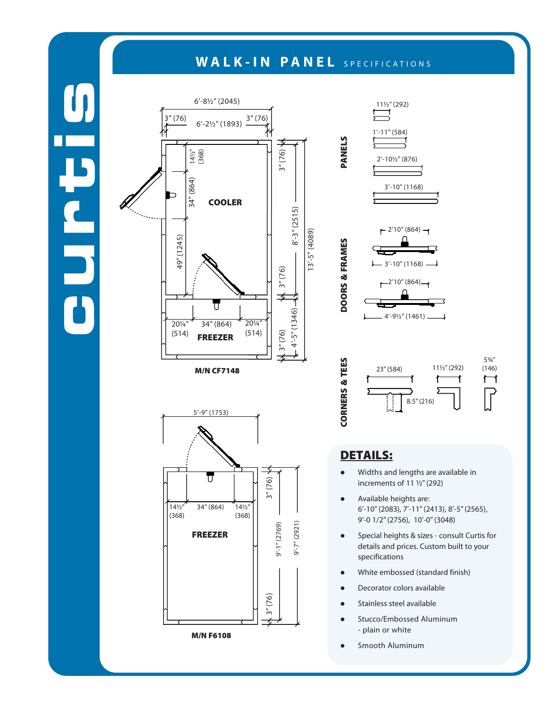## WALK-IN PANEL SPECIFICATIONS

PANELS

DOORS & FRAMES

DOORS & FRAMES

CORNERS & TEES

**CORNERS & TEES** 



M/N CF7148







## DETAILS:

- Widths and lengths are available in increments of 11 ½" (292)
- Available heights are: 6'-10" (2083), 7'-11" (2413), 8'-5" (2565), 9'-0 1/2" (2756), 10'-0" (3048)

8.5" (216)

- **•** Special heights & sizes consult Curtis for details and prices. Custom built to your specifications
- White embossed (standard finish)
- Decorator colors available
- Stainless steel available
- **•** Stucco/Embossed Aluminum - plain or white
- **•** Smooth Aluminum